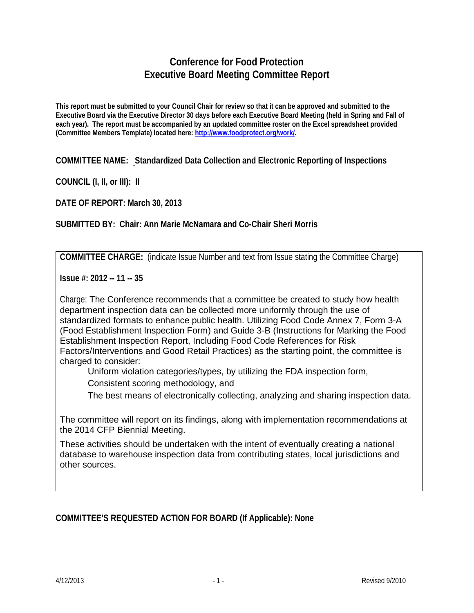## **Conference for Food Protection Executive Board Meeting Committee Report**

**This report must be submitted to your Council Chair for review so that it can be approved and submitted to the Executive Board via the Executive Director 30 days before each Executive Board Meeting (held in Spring and Fall of each year). The report must be accompanied by an updated committee roster on the Excel spreadsheet provided (Committee Members Template) located here: [http://www.foodprotect.org/work/.](http://www.foodprotect.org/work/)**

**COMMITTEE NAME: Standardized Data Collection and Electronic Reporting of Inspections**

**COUNCIL (I, II, or III): II**

**DATE OF REPORT: March 30, 2013**

**SUBMITTED BY: Chair: Ann Marie McNamara and Co-Chair Sheri Morris**

**COMMITTEE CHARGE:** (indicate Issue Number and text from Issue stating the Committee Charge)

**Issue #: 2012 -- 11 -- 35**

Charge: The Conference recommends that a committee be created to study how health department inspection data can be collected more uniformly through the use of standardized formats to enhance public health. Utilizing Food Code Annex 7, Form 3-A (Food Establishment Inspection Form) and Guide 3-B (Instructions for Marking the Food Establishment Inspection Report, Including Food Code References for Risk Factors/Interventions and Good Retail Practices) as the starting point, the committee is charged to consider:

Uniform violation categories/types, by utilizing the FDA inspection form,

Consistent scoring methodology, and

The best means of electronically collecting, analyzing and sharing inspection data.

The committee will report on its findings, along with implementation recommendations at the 2014 CFP Biennial Meeting.

These activities should be undertaken with the intent of eventually creating a national database to warehouse inspection data from contributing states, local jurisdictions and other sources.

**COMMITTEE'S REQUESTED ACTION FOR BOARD (If Applicable): None**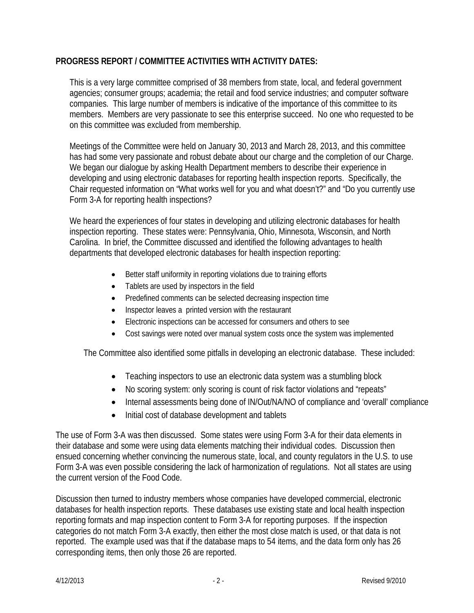## **PROGRESS REPORT / COMMITTEE ACTIVITIES WITH ACTIVITY DATES:**

This is a very large committee comprised of 38 members from state, local, and federal government agencies; consumer groups; academia; the retail and food service industries; and computer software companies. This large number of members is indicative of the importance of this committee to its members. Members are very passionate to see this enterprise succeed. No one who requested to be on this committee was excluded from membership.

Meetings of the Committee were held on January 30, 2013 and March 28, 2013, and this committee has had some very passionate and robust debate about our charge and the completion of our Charge. We began our dialogue by asking Health Department members to describe their experience in developing and using electronic databases for reporting health inspection reports. Specifically, the Chair requested information on "What works well for you and what doesn't?" and "Do you currently use Form 3-A for reporting health inspections?

We heard the experiences of four states in developing and utilizing electronic databases for health inspection reporting. These states were: Pennsylvania, Ohio, Minnesota, Wisconsin, and North Carolina. In brief, the Committee discussed and identified the following advantages to health departments that developed electronic databases for health inspection reporting:

- Better staff uniformity in reporting violations due to training efforts
- Tablets are used by inspectors in the field
- Predefined comments can be selected decreasing inspection time
- Inspector leaves a printed version with the restaurant
- Electronic inspections can be accessed for consumers and others to see
- Cost savings were noted over manual system costs once the system was implemented

The Committee also identified some pitfalls in developing an electronic database. These included:

- Teaching inspectors to use an electronic data system was a stumbling block
- No scoring system: only scoring is count of risk factor violations and "repeats"
- Internal assessments being done of IN/Out/NA/NO of compliance and 'overall' compliance
- Initial cost of database development and tablets

The use of Form 3-A was then discussed. Some states were using Form 3-A for their data elements in their database and some were using data elements matching their individual codes. Discussion then ensued concerning whether convincing the numerous state, local, and county regulators in the U.S. to use Form 3-A was even possible considering the lack of harmonization of regulations. Not all states are using the current version of the Food Code.

Discussion then turned to industry members whose companies have developed commercial, electronic databases for health inspection reports. These databases use existing state and local health inspection reporting formats and map inspection content to Form 3-A for reporting purposes. If the inspection categories do not match Form 3-A exactly, then either the most close match is used, or that data is not reported. The example used was that if the database maps to 54 items, and the data form only has 26 corresponding items, then only those 26 are reported.